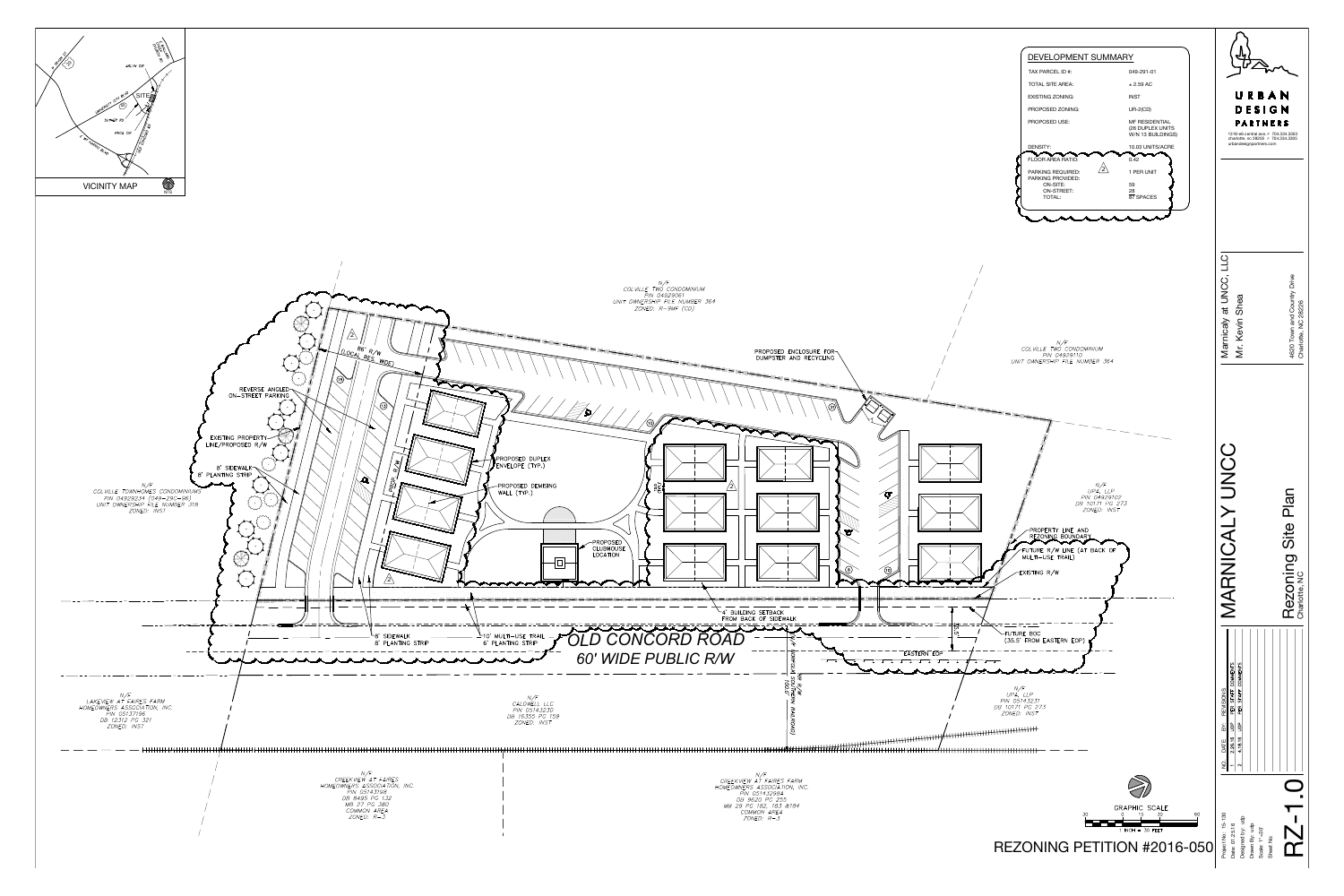